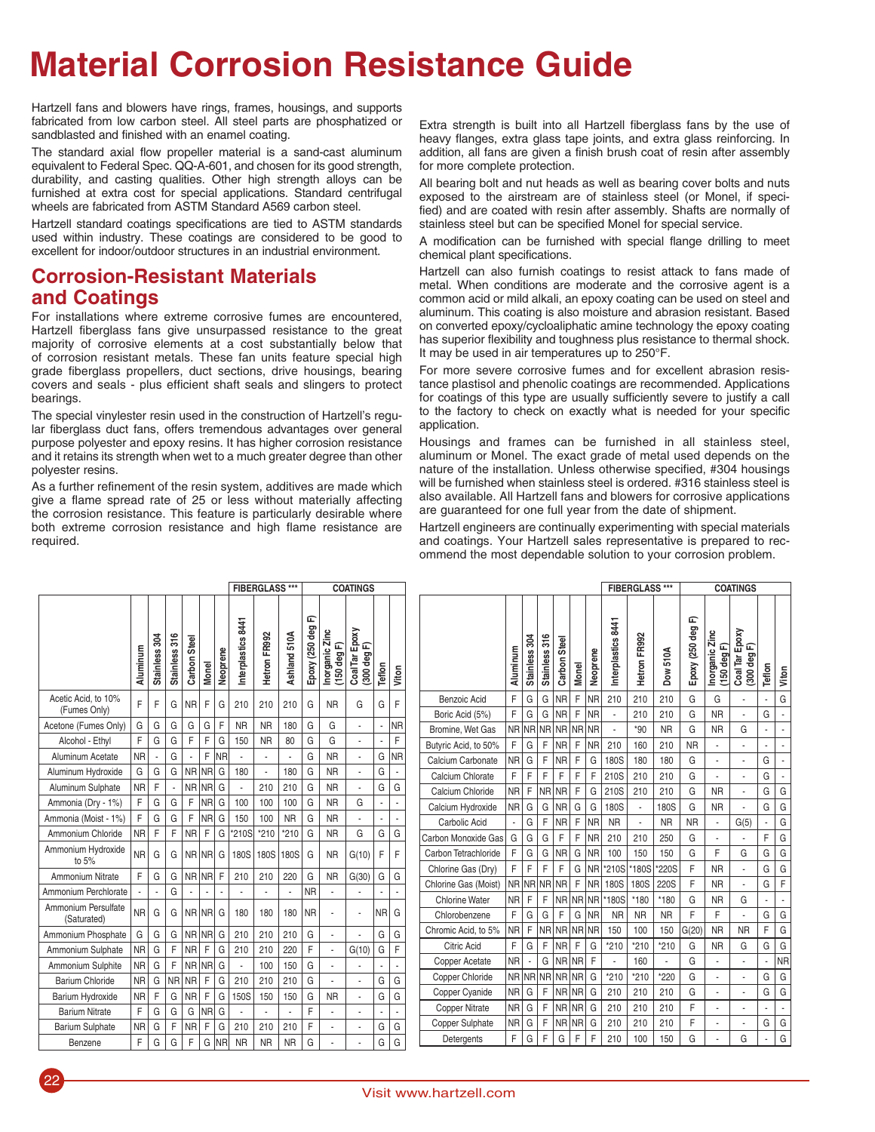## **Material Corrosion Resistance Guide**

Hartzell fans and blowers have rings, frames, housings, and supports fabricated from low carbon steel. All steel parts are phosphatized or sandblasted and finished with an enamel coating.

The standard axial flow propeller material is a sand-cast aluminum equivalent to Federal Spec. QQ-A-601, and chosen for its good strength, durability, and casting qualities. Other high strength alloys can be furnished at extra cost for special applications. Standard centrifugal wheels are fabricated from ASTM Standard A569 carbon steel.

Hartzell standard coatings specifications are tied to ASTM standards used within industry. These coatings are considered to be good to excellent for indoor/outdoor structures in an industrial environment.

## **Corrosion-Resistant Materials and Coatings**

For installations where extreme corrosive fumes are encountered, Hartzell fiberglass fans give unsurpassed resistance to the great majority of corrosive elements at a cost substantially below that of corrosion resistant metals. These fan units feature special high grade fiberglass propellers, duct sections, drive housings, bearing covers and seals - plus efficient shaft seals and slingers to protect bearings.

The special vinylester resin used in the construction of Hartzell's regular fiberglass duct fans, offers tremendous advantages over general purpose polyester and epoxy resins. It has higher corrosion resistance and it retains its strength when wet to a much greater degree than other polyester resins.

As a further refinement of the resin system, additives are made which give a flame spread rate of 25 or less without materially affecting the corrosion resistance. This feature is particularly desirable where both extreme corrosion resistance and high flame resistance are required.

Extra strength is built into all Hartzell fiberglass fans by the use of heavy flanges, extra glass tape joints, and extra glass reinforcing. In addition, all fans are given a finish brush coat of resin after assembly for more complete protection.

All bearing bolt and nut heads as well as bearing cover bolts and nuts exposed to the airstream are of stainless steel (or Monel, if specified) and are coated with resin after assembly. Shafts are normally of stainless steel but can be specified Monel for special service.

A modification can be furnished with special flange drilling to meet chemical plant specifications.

Hartzell can also furnish coatings to resist attack to fans made of metal. When conditions are moderate and the corrosive agent is a common acid or mild alkali, an epoxy coating can be used on steel and aluminum. This coating is also moisture and abrasion resistant. Based on converted epoxy/cycloaliphatic amine technology the epoxy coating has superior flexibility and toughness plus resistance to thermal shock. It may be used in air temperatures up to 250°F.

For more severe corrosive fumes and for excellent abrasion resistance plastisol and phenolic coatings are recommended. Applications for coatings of this type are usually sufficiently severe to justify a call to the factory to check on exactly what is needed for your specific application.

Housings and frames can be furnished in all stainless steel, aluminum or Monel. The exact grade of metal used depends on the nature of the installation. Unless otherwise specified, #304 housings will be furnished when stainless steel is ordered. #316 stainless steel is also available. All Hartzell fans and blowers for corrosive applications are guaranteed for one full year from the date of shipment.

Hartzell engineers are continually experimenting with special materials and coatings. Your Hartzell sales representative is prepared to recommend the most dependable solution to your corrosion problem.

**FIBERGLASS \*\*\* COATINGS**

|                                     |           |               |               |              | <b>FIBERGLASS ***</b> |           | <b>COATINGS</b>    |              |              |                     |                               |                               |           |                          |
|-------------------------------------|-----------|---------------|---------------|--------------|-----------------------|-----------|--------------------|--------------|--------------|---------------------|-------------------------------|-------------------------------|-----------|--------------------------|
|                                     | Aluminum  | Stainless 304 | Stainless 316 | Carbon Steel | Monel                 | Neoprene  | Interplastics 8441 | Hetron FR992 | Ashland 510A | 冚<br>Epoxy (250 deg | Inorganic Zinc<br>(150 deg F) | Coal Tar Epoxy<br>(300 deg F) | Teflon    | Viton                    |
| Acetic Acid, to 10%<br>(Fumes Only) | F         | F             | G             | <b>NR</b>    | F                     | G         | 210                | 210          | 210          | G                   | <b>NR</b>                     | G                             | G         | F                        |
| Acetone (Fumes Only)                | G         | G             | G             | G            | G                     | F         | <b>NR</b>          | <b>NR</b>    | 180          | G                   | G                             | L                             | Ĭ.        | <b>NR</b>                |
| Alcohol - Ethyl                     | F         | G             | G             | F            | F                     | G         | 150                | <b>NR</b>    | 80           | G                   | G                             |                               | ä,        | F                        |
| Aluminum Acetate                    | <b>NR</b> | L,            | G             |              | F                     | <b>NR</b> | L,                 | ä,           |              | G                   | <b>NR</b>                     | ÷,                            | G         | <b>NR</b>                |
| Aluminum Hydroxide                  | G         | G             | G             | <b>NR</b>    | <b>NR</b>             | G         | 180                | L            | 180          | G                   | <b>NR</b>                     | L                             | G         | ä,                       |
| Aluminum Sulphate                   | <b>NR</b> | F             | ä,            | <b>NR</b>    | <b>NR</b>             | G         |                    | 210          | 210          | G                   | <b>NR</b>                     | ä,                            | G         | G                        |
| Ammonia (Dry - 1%)                  | F         | G             | G             | F            | <b>NR</b>             | G         | 100                | 100          | 100          | G                   | <b>NR</b>                     | G                             | ä,        | ÷,                       |
| Ammonia (Moist - 1%)                | F         | G             | G             | F            | <b>NR</b>             | G         | 150                | 100          | <b>NR</b>    | G                   | <b>NR</b>                     |                               | ä,        | $\overline{\phantom{a}}$ |
| Ammonium Chloride                   | <b>NR</b> | F             | F             | <b>NR</b>    | F                     | G         | *210S              | $*210$       | $*210$       | G                   | <b>NR</b>                     | G                             | G         | G                        |
| Ammonium Hydroxide<br>to 5%         | <b>NR</b> | G             | G             | NR NR        |                       | G         | 180S               | 180S         | 180S         | G                   | <b>NR</b>                     | G(10)                         | F         | F                        |
| <b>Ammonium Nitrate</b>             | F         | G             | G             | <b>NR</b>    | <b>NR</b>             | F         | 210                | 210          | 220          | G                   | <b>NR</b>                     | G(30)                         | G         | G                        |
| Ammonium Perchlorate                | ä,        |               | G             |              |                       |           |                    |              |              | <b>NR</b>           |                               |                               |           |                          |
| Ammonium Persulfate<br>(Saturated)  | <b>NR</b> | G             | G             | <b>NR</b>    | <b>NR</b>             | G         | 180                | 180          | 180          | <b>NR</b>           | ٠                             |                               | <b>NR</b> | G                        |
| Ammonium Phosphate                  | G         | G             | G             | <b>NR</b>    | <b>NR</b>             | G         | 210                | 210          | 210          | G                   | L                             |                               | G         | G                        |
| Ammonium Sulphate                   | <b>NR</b> | G             | F             | <b>NR</b>    | F                     | G         | 210                | 210          | 220          | F                   |                               | G(10)                         | G         | F                        |
| Ammonium Sulphite                   | <b>NR</b> | G             | F             | NR NR        |                       | G         |                    | 100          | 150          | G                   | L                             |                               |           | ä,                       |
| <b>Barium Chloride</b>              | <b>NR</b> | G             | <b>NR</b>     | <b>NR</b>    | F                     | G         | 210                | 210          | 210          | G                   |                               |                               | G         | G                        |
| Barium Hydroxide                    | <b>NR</b> | F             | G             | <b>NR</b>    | F                     | G         | 150S               | 150          | 150          | G                   | <b>NR</b>                     | ÷,                            | G         | G                        |
| <b>Barium Nitrate</b>               | F         | G             | G             | G            | <b>NR</b>             | G         |                    |              |              | F                   | L                             |                               |           | L,                       |
| <b>Barium Sulphate</b>              | <b>NR</b> | G             | F             | <b>NR</b>    | F                     | G         | 210                | 210          | 210          | F                   | ٠                             | ٠                             | G         | G                        |
| Benzene                             | F         | G             | G             | F            | G                     | <b>NR</b> | <b>NR</b>          | <b>NR</b>    | <b>NR</b>    | G                   | L                             |                               | G         | G                        |

|                       | Aluminum  | Stainless 304 | Stainless 316 | Carbon Steel | <b>Monel</b> | Neoprene  | Interplastics 8441 | Hetron FR992 | Dow 510A  | 企<br>Epoxy (250 deg | Inorganic Zinc<br>150 deg F) | Coal Tar Epoxy<br>(300 deg F) | Teflon | Viton     |  |  |  |  |
|-----------------------|-----------|---------------|---------------|--------------|--------------|-----------|--------------------|--------------|-----------|---------------------|------------------------------|-------------------------------|--------|-----------|--|--|--|--|
| <b>Benzoic Acid</b>   | F         | G             | G             | <b>NR</b>    | F            | <b>NR</b> | 210                | 210          | 210       | G                   | G                            |                               |        | G         |  |  |  |  |
| Boric Acid (5%)       | F         | G             | G             | <b>NR</b>    | F            | <b>NR</b> |                    | 210          | 210       | G                   | <b>NR</b>                    |                               | G      | ٠         |  |  |  |  |
| Bromine, Wet Gas      | <b>NR</b> | <b>NR</b>     | <b>NR</b>     | NR           | <b>NR</b>    | <b>NR</b> | L,                 | $*90$        | <b>NR</b> | G                   | <b>NR</b>                    | G                             |        |           |  |  |  |  |
| Butyric Acid, to 50%  | F         | G             | F             | <b>NR</b>    | F            | <b>NR</b> | 210                | 160          | 210       | <b>NR</b>           |                              | ä,                            |        | ä,        |  |  |  |  |
| Calcium Carbonate     | <b>NR</b> | G             | F             | <b>NR</b>    | F            | G         | 180S               | 180          | 180       | G                   | ä,                           | ÷,                            | G      |           |  |  |  |  |
| Calcium Chlorate      | F         | F             | F             | F            | F            | F         | 210S               | 210          | 210       | G                   | ÷,                           |                               | G      | L         |  |  |  |  |
| Calcium Chloride      | <b>NR</b> | F             | <b>NR</b>     | <b>NR</b>    | F            | G         | 210S               | 210          | 210       | G                   | <b>NR</b>                    | ä,                            | G      | G         |  |  |  |  |
| Calcium Hydroxide     | <b>NR</b> | G             | G             | <b>NR</b>    | G            | G         | 180S               | ä,           | 180S      | G                   | <b>NR</b>                    | L,                            | G      | G         |  |  |  |  |
| Carbolic Acid         | i,        | G             | F             | <b>NR</b>    | F            | <b>NR</b> | <b>NR</b>          |              | <b>NR</b> | <b>NR</b>           |                              | G(5)                          |        | G         |  |  |  |  |
| Carbon Monoxide Gas   | G         | G             | G             | F            | F            | <b>NR</b> | 210                | 210          | 250       | G                   | ä,                           |                               | F      | G         |  |  |  |  |
| Carbon Tetrachloride  | F         | G             | G             | <b>NR</b>    | G            | <b>NR</b> | 100                | 150          | 150       | G                   | F                            | G                             | G      | G         |  |  |  |  |
| Chlorine Gas (Dry)    | F         | F             | F             | F            | G            | <b>NR</b> | *210S              | *180S        | *220S     | F                   | <b>NR</b>                    | L                             | G      | G         |  |  |  |  |
| Chlorine Gas (Moist)  | <b>NR</b> | <b>NR</b>     | <b>NR</b>     | <b>NR</b>    | F            | <b>NR</b> | <b>180S</b>        | <b>180S</b>  | 220S      | F                   | <b>NR</b>                    |                               | G      | F         |  |  |  |  |
| <b>Chlorine Water</b> | <b>NR</b> | F             | F             | NR           | NR           | <b>NR</b> | *180S              | *180         | *180      | G                   | <b>NR</b>                    | G                             |        |           |  |  |  |  |
| Chlorobenzene         | F         | G             | G             | F            | G            | <b>NR</b> | <b>NR</b>          | <b>NR</b>    | <b>NR</b> | F                   | F                            |                               | G      | G         |  |  |  |  |
| Chromic Acid, to 5%   | <b>NR</b> | F             | <b>NR</b>     | <b>NR</b>    | <b>NR</b>    | <b>NR</b> | 150                | 100          | 150       | G(20)               | <b>NR</b>                    | <b>NR</b>                     | F      | G         |  |  |  |  |
| <b>Citric Acid</b>    | F         | G             | F             | <b>NR</b>    | F            | G         | $*210$             | *210         | $*210$    | G                   | <b>NR</b>                    | G                             | G      | G         |  |  |  |  |
| Copper Acetate        | <b>NR</b> |               | G             | <b>NR</b>    | <b>NR</b>    | F         |                    | 160          |           | G                   |                              |                               |        | <b>NR</b> |  |  |  |  |
| Copper Chloride       | <b>NR</b> | <b>NR</b>     | <b>NR</b>     | <b>NR</b>    | <b>NR</b>    | G         | $*210$             | $*210$       | *220      | G                   | ä,                           | L,                            | G      | G         |  |  |  |  |
| Copper Cyanide        | <b>NR</b> | G             | F             | <b>NR</b>    | <b>NR</b>    | G         | 210                | 210          | 210       | G                   |                              |                               | G      | G         |  |  |  |  |
| Copper Nitrate        | <b>NR</b> | G             | F             | <b>NR</b>    | <b>NR</b>    | G         | 210                | 210          | 210       | F                   | ÷,                           |                               |        | L         |  |  |  |  |
| Copper Sulphate       | <b>NR</b> | G             | F             | NR           | <b>NR</b>    | G         | 210                | 210          | 210       | F                   |                              | ä,                            | G      | G         |  |  |  |  |
| Detergents            | F         | G             | F             | G            | F            | F         | 210                | 100          | 150       | G                   |                              | G                             |        | G         |  |  |  |  |